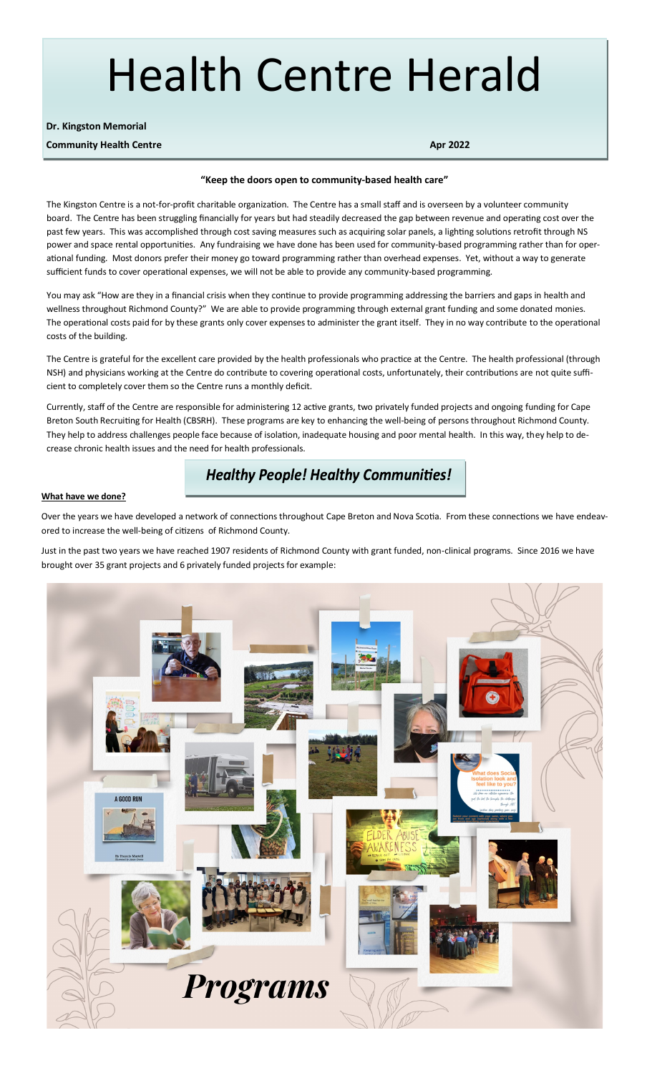# Health Centre Herald

#### **Dr. Kingston Memorial**

**Community Health Centre Apr 2022** 

#### **"Keep the doors open to community-based health care"**

The Kingston Centre is a not-for-profit charitable organization. The Centre has a small staff and is overseen by a volunteer community board. The Centre has been struggling financially for years but had steadily decreased the gap between revenue and operating cost over the past few years. This was accomplished through cost saving measures such as acquiring solar panels, a lighting solutions retrofit through NS power and space rental opportunities. Any fundraising we have done has been used for community-based programming rather than for operational funding. Most donors prefer their money go toward programming rather than overhead expenses. Yet, without a way to generate sufficient funds to cover operational expenses, we will not be able to provide any community-based programming.

You may ask "How are they in a financial crisis when they continue to provide programming addressing the barriers and gaps in health and wellness throughout Richmond County?" We are able to provide programming through external grant funding and some donated monies. The operational costs paid for by these grants only cover expenses to administer the grant itself. They in no way contribute to the operational costs of the building.

The Centre is grateful for the excellent care provided by the health professionals who practice at the Centre. The health professional (through NSH) and physicians working at the Centre do contribute to covering operational costs, unfortunately, their contributions are not quite sufficient to completely cover them so the Centre runs a monthly deficit.

Currently, staff of the Centre are responsible for administering 12 active grants, two privately funded projects and ongoing funding for Cape Breton South Recruiting for Health (CBSRH). These programs are key to enhancing the well-being of persons throughout Richmond County. They help to address challenges people face because of isolation, inadequate housing and poor mental health. In this way, they help to decrease chronic health issues and the need for health professionals.

## **Healthy People! Healthy Communities!**

#### **What have we done?**

Over the years we have developed a network of connections throughout Cape Breton and Nova Scotia. From these connections we have endeavored to increase the well-being of citizens of Richmond County.

Just in the past two years we have reached 1907 residents of Richmond County with grant funded, non-clinical programs. Since 2016 we have brought over 35 grant projects and 6 privately funded projects for example: